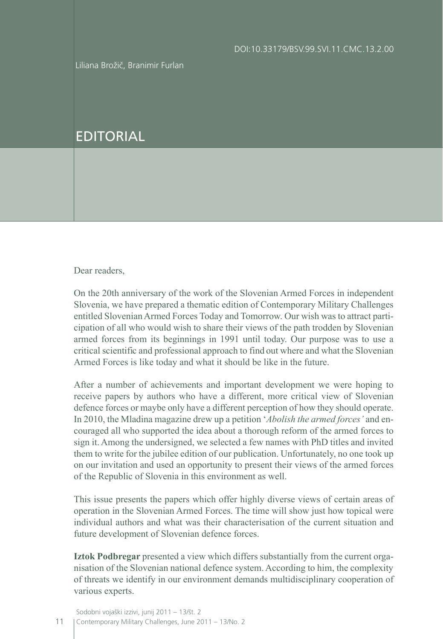Liliana Brožič, Branimir Furlan

## EDITORIAL

Dear readers,

On the 20th anniversary of the work of the Slovenian Armed Forces in independent Slovenia, we have prepared a thematic edition of Contemporary Military Challenges entitled Slovenian Armed Forces Today and Tomorrow. Our wish was to attract participation of all who would wish to share their views of the path trodden by Slovenian armed forces from its beginnings in 1991 until today. Our purpose was to use a critical scientific and professional approach to find out where and what the Slovenian Armed Forces is like today and what it should be like in the future.

After a number of achievements and important development we were hoping to receive papers by authors who have a different, more critical view of Slovenian defence forces or maybe only have a different perception of how they should operate. In 2010, the Mladina magazine drew up a petition '*Abolish the armed forces'* and encouraged all who supported the idea about a thorough reform of the armed forces to sign it.Among the undersigned, we selected a few names with PhD titles and invited them to write for the jubilee edition of our publication. Unfortunately, no one took up on our invitation and used an opportunity to present their views of the armed forces of the Republic of Slovenia in this environment as well.

This issue presents the papers which offer highly diverse views of certain areas of operation in the Slovenian Armed Forces. The time will show just how topical were individual authors and what was their characterisation of the current situation and future development of Slovenian defence forces.

**Iztok Podbregar** presented a view which differs substantially from the current organisation of the Slovenian national defence system.According to him, the complexity of threats we identify in our environment demands multidisciplinary cooperation of various experts.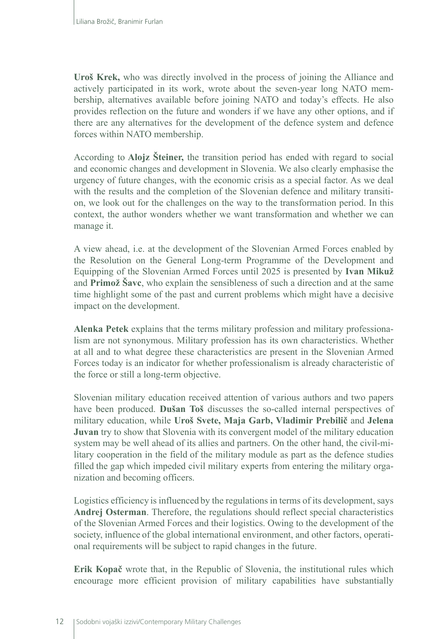**Uroš Krek,** who was directly involved in the process of joining the Alliance and actively participated in its work, wrote about the seven-year long NATO membership, alternatives available before joining NATO and today's effects. He also provides reflection on the future and wonders if we have any other options, and if there are any alternatives for the development of the defence system and defence forces within NATO membership.

According to **Alojz Šteiner,** the transition period has ended with regard to social and economic changes and development in Slovenia. We also clearly emphasise the urgency of future changes, with the economic crisis as a special factor. As we deal with the results and the completion of the Slovenian defence and military transition, we look out for the challenges on the way to the transformation period. In this context, the author wonders whether we want transformation and whether we can manage it.

A view ahead, i.e. at the development of the Slovenian Armed Forces enabled by the Resolution on the General Long-term Programme of the Development and Equipping of the Slovenian Armed Forces until 2025 is presented by **Ivan Mikuž** and **Primož Šavc**, who explain the sensibleness of such a direction and at the same time highlight some of the past and current problems which might have a decisive impact on the development.

**Alenka Petek** explains that the terms military profession and military professionalism are not synonymous. Military profession has its own characteristics. Whether at all and to what degree these characteristics are present in the Slovenian Armed Forces today is an indicator for whether professionalism is already characteristic of the force or still a long-term objective.

Slovenian military education received attention of various authors and two papers have been produced. **Dušan Toš** discusses the so-called internal perspectives of military education, while **Uroš Svete, Maja Garb, Vladimir Prebilič** and **Jelena Juvan** try to show that Slovenia with its convergent model of the military education system may be well ahead of its allies and partners. On the other hand, the civil-military cooperation in the field of the military module as part as the defence studies filled the gap which impeded civil military experts from entering the military organization and becoming officers.

Logistics efficiency is influenced by the regulations in terms of its development, says **Andrej Osterman**. Therefore, the regulations should reflect special characteristics of the Slovenian Armed Forces and their logistics. Owing to the development of the society, influence of the global international environment, and other factors, operational requirements will be subject to rapid changes in the future.

**Erik Kopač** wrote that, in the Republic of Slovenia, the institutional rules which encourage more efficient provision of military capabilities have substantially